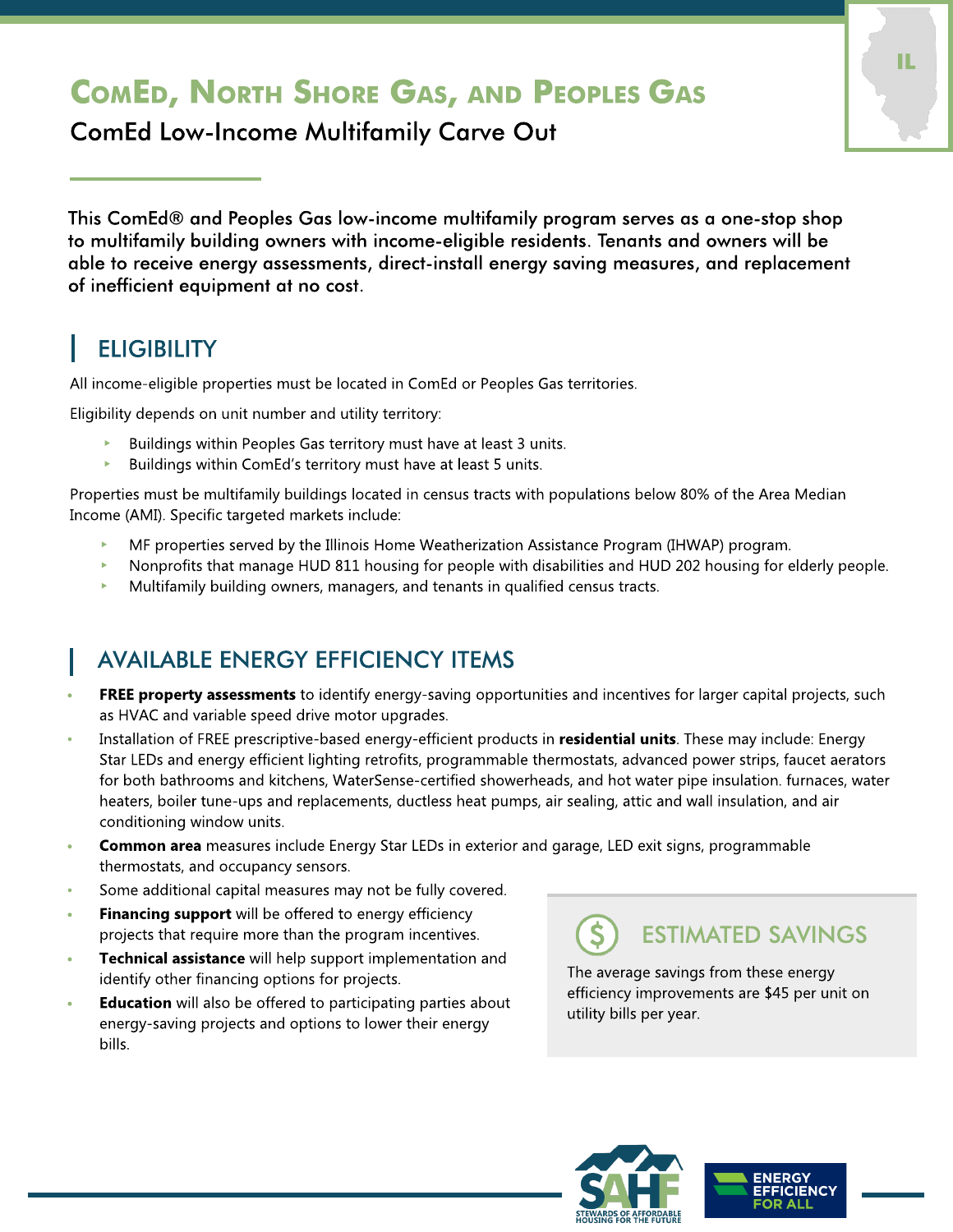# **COMED, NORTH SHORE GAS, AND PEOPLES GAS**

ComEd Low-Income Multifamily Carve Out

This ComEd® and Peoples Gas low-income multifamily program serves as a one-stop shop to multifamily building owners with income-eligible residents. Tenants and owners will be able to receive energy assessments, direct-install energy saving measures, and replacement of inefficient equipment at no cost.

### **ELIGIBILITY**

All income-eligible properties must be located in ComEd or Peoples Gas territories.

Eligibility depends on unit number and utility territory:

- $\triangleright$  Buildings within Peoples Gas territory must have at least 3 units.
- Buildings within ComEd's territory must have at least 5 units.

Properties must be multifamily buildings located in census tracts with populations below 80% of the Area Median Income (AMI). Specific targeted markets include:

- MF properties served by the Illinois Home Weatherization Assistance Program (IHWAP) program.
- Nonprofits that manage HUD 811 housing for people with disabilities and HUD 202 housing for elderly people.
- Multifamily building owners, managers, and tenants in qualified census tracts.

### AVAILABLE ENERGY EFFICIENCY ITEMS

- FREE property assessments to identify energy-saving opportunities and incentives for larger capital projects, such as HVAC and variable speed drive motor upgrades.
- Installation of FREE prescriptive-based energy-efficient products in residential units. These may include: Energy Star LEDs and energy efficient lighting retrofits, programmable thermostats, advanced power strips, faucet aerators for both bathrooms and kitchens, WaterSense-certified showerheads, and hot water pipe insulation. furnaces, water heaters, boiler tune-ups and replacements, ductless heat pumps, air sealing, attic and wall insulation, and air conditioning window units.
- Common area measures include Energy Star LEDs in exterior and garage, LED exit signs, programmable thermostats, and occupancy sensors.
- Some additional capital measures may not be fully covered.
- **Financing support** will be offered to energy efficiency projects that require more than the program incentives.
- Technical assistance will help support implementation and identify other financing options for projects.
- **Education** will also be offered to participating parties about energy-saving projects and options to lower their energy bills.

ESTIMATED SAVINGS

The average savings from these energy efficiency improvements are \$45 per unit on utility bills per year.